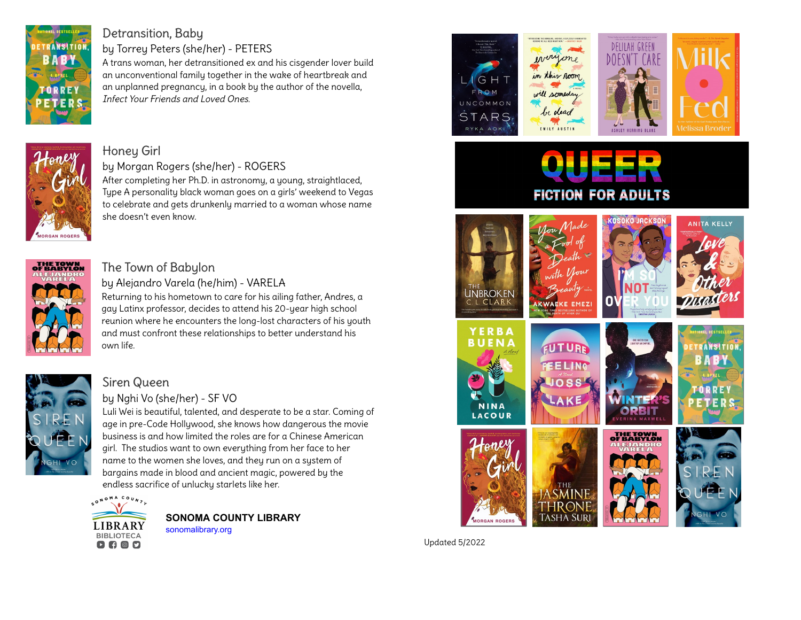

## [Detransition, Baby](https://libraryaware.com/2J5WN9)

by Torrey Peters (she/her) - PETERS

A trans woman, her detransitioned ex and his cisgender lover build an unconventional family together in the wake of heartbreak and an unplanned pregnancy, in a book by the author of the novella, Infect Your Friends and Loved Ones.



# [Honey Girl](https://libraryaware.com/2J5WNA)

by Morgan Rogers (she/her) - ROGERS After completing her Ph.D. in astronomy, a young, straightlaced, Type A personality black woman goes on a girls' weekend to Vegas to celebrate and gets drunkenly married to a woman whose name she doesn't even know.



#### [The Town of Babylon](https://libraryaware.com/2J5WNB)

by Alejandro Varela (he/him) - VARELA Returning to his hometown to care for his ailing father, Andres, a gay Latinx professor, decides to attend his 20-year high school reunion where he encounters the long-lost characters of his youth and must confront these relationships to better understand his own life.



#### [Siren Queen](https://libraryaware.com/2J5WNC)

#### by Nghi Vo (she/her) - SF VO

Luli Wei is beautiful, talented, and desperate to be a star. Coming of age in pre-Code Hollywood, she knows how dangerous the movie business is and how limited the roles are for a Chinese American girl. The studios want to own everything from her face to her name to the women she loves, and they run on a system of bargains made in blood and ancient magic, powered by the endless sacrifice of unlucky starlets like her.



**[S](https://libraryaware.com/2J5WNS)ONOMA COUNTY LIBRARY** [sonomalibrary.org](https://libraryaware.com/2J5WNS)







# **FICTION FOR ADULTS**





**ORBIT** 















Updated 5/2022